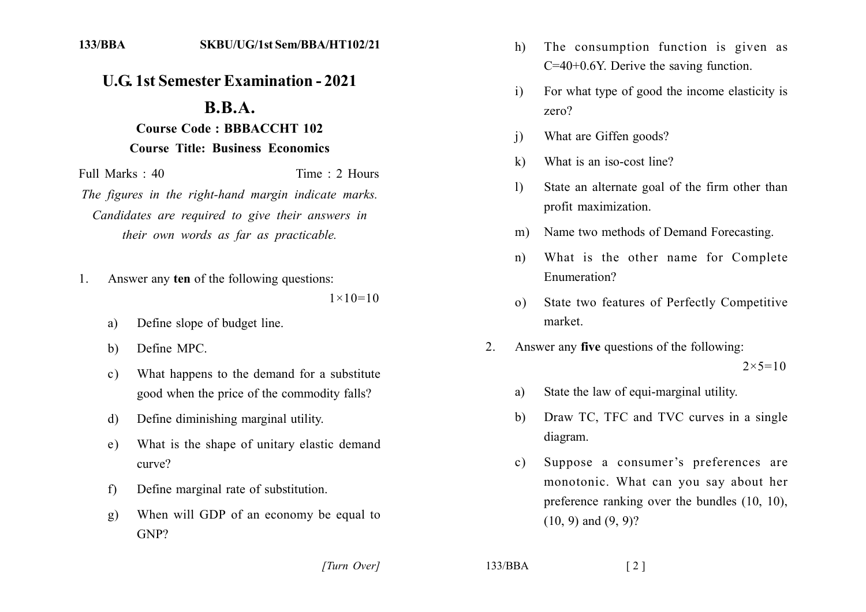## **U.G. 1st Semester Examination - 2021**

## $B.B.A.$ **Course Code: BBBACCHT 102 Course Title: Business Economics**

Full Marks: 40 Time: 2 Hours The figures in the right-hand margin indicate marks. Candidates are required to give their answers in their own words as far as practicable.

- Answer any ten of the following questions: 1.  $1 \times 10 = 10$ 
	- Define slope of budget line. a)
	- Define MPC.  $\mathbf{b}$
	- What happens to the demand for a substitute  $c)$ good when the price of the commodity falls?
	- Define diminishing marginal utility. d)
	- What is the shape of unitary elastic demand e) curve?
	- Define marginal rate of substitution.  $f$
	- When will GDP of an economy be equal to **g**)  $GNP?$
- The consumption function is given as  $h)$  $C=40+0.6$ Y. Derive the saving function.
- For what type of good the income elasticity is  $\mathbf{i}$  $zero?$
- What are Giffen goods?  $\overline{1}$
- What is an iso-cost line?  $\bf k$
- State an alternate goal of the firm other than  $\mathbf{D}$ profit maximization.
- Name two methods of Demand Forecasting.  $m)$
- What is the other name for Complete  $n)$ Enumeration?
- State two features of Perfectly Competitive  $\Omega$ market
- Answer any five questions of the following:  $2^{\circ}$  $2 \times 5 = 10$ 
	- State the law of equi-marginal utility. a)
	- Draw TC, TFC and TVC curves in a single b) diagram.
	- Suppose a consumer's preferences are  $\mathbf{c}$ ) monotonic. What can you say about her preference ranking over the bundles  $(10, 10)$ ,  $(10, 9)$  and  $(9, 9)$ ?

[Turn Over]

 $133/BBA$ 

 $\lceil 2 \rceil$